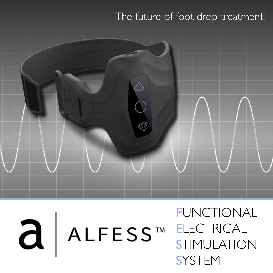### The future of foot drop treatment!



a ALFESS™

FUNCTIONAL **ELECTRICAL** STIMULATION **SYSTEM**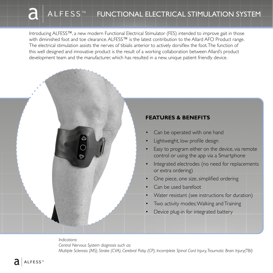## A L F E S S ™ FUNCTIONAL ELECTRICAL STIMULATION SYSTEM

Introducing ALFESS™, a new modern Functional Electrical Stimulator (FES) intended to improve gait in those with diminished foot and toe clearance. ALFESS™ is the latest contribution to the Allard AFO Product range. The electrical stimulation assists the nerves of tibialis anterior to actively dorsiflex the foot. The function of this well designed and innovative product is the result of a working collaboration between Allard's product development team and the manufacturer, which has resulted in a new, unique patient friendly device.

#### **FEATURES & BENEFITS**

- Can be operated with one hand
- Lightweight, low profile design
- Easy to program either on the device, via remote control or using the app via a Smartphone
- Integrated electrodes (no need for replacements or extra ordering)
- One piece, one size, simplified ordering
- Can be used barefoot
- Water resistant (see instructions for duration)
- Two activity modes; Walking and Training
- Device plug-in for integrated battery

*Indications: Central Nervous System diagnosis such as: Multiple Sclerosis (MS), Stroke (CVA), Cerebral Palsy (CP), Incomplete Spinal Cord Injury, Traumatic Brain Injury(TBI)*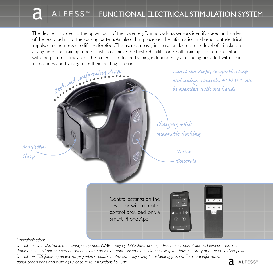### A L F E S S ™ FUNCTIONAL ELECTRICAL STIMULATION SYSTEM

The device is applied to the upper part of the lower leg. During walking, sensors identify speed and angles of the leg to adapt to the walking pattern. An algorithm processes the information and sends out electrical impulses to the nerves to lift the forefoot. The user can easily increase or decrease the level of stimulation at any time. The training mode assists to achieve the best rehabilitation result. Training can be done either with the patients clinician, or the patient can do the training independently after being provided with clear instructions and training from their treating clinician.



*Due to the shape, magnetic clasp and unique controls, ALFESS™ can be operated with one hand!*

*Charging with magnetic docking*

*Controls*

device or with remote control provided, or via Smart Phone App.

*Contraindications:*

*Magnetic*

*Do not use with electronic monitoring equipment, NMR-imaging, defibrillator and high-frequency medical device. Powered muscle s timulators should not be used on patients with cardiac demand pacemakers. Do not use if you have a history of autonomic dysreflexia. Do not use FES following recent surgery where muscle contraction may disrupt the healing process. For more information about precautions and warnings please read Instructions For Use* ALFESS<sup>™</sup>